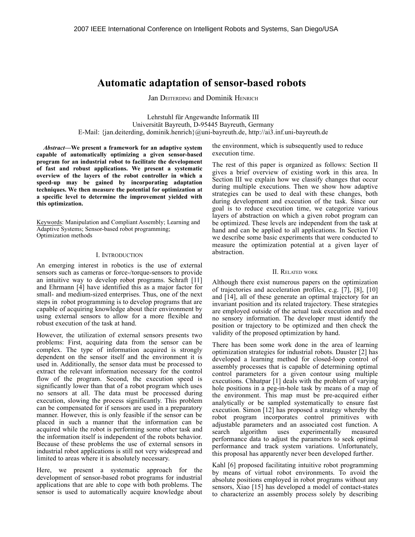# **Automatic adaptation of sensor-based robots**

Jan DEITERDING and Dominik HENRICH

Lehrstuhl für Angewandte Informatik III Universität Bayreuth, D-95445 Bayreuth, Germany E-Mail: {jan.deiterding, dominik.henrich}@uni-bayreuth.de, http://ai3.inf.uni-bayreuth.de

*Abstract***—We present a framework for an adaptive system capable of automatically optimizing a given sensor-based program for an industrial robot to facilitate the development of fast and robust applications. We present a systematic overview of the layers of the robot controller in which a speed-up may be gained by incorporating adaptation techniques. We then measure the potential for optimization at a specific level to determine the improvement yielded with this optimization.**

Keywords: Manipulation and Compliant Assembly; Learning and Adaptive Systems; Sensor-based robot programming; Optimization methods

### I. INTRODUCTION

An emerging interest in robotics is the use of external sensors such as cameras or force-/torque-sensors to provide an intuitive way to develop robot programs. Schraft [11] and Ehrmann [4] have identified this as a major factor for small- and medium-sized enterprises. Thus, one of the next steps in robot programming is to develop programs that are capable of acquiring knowledge about their environment by using external sensors to allow for a more flexible and robust execution of the task at hand.

However, the utilization of external sensors presents two problems: First, acquiring data from the sensor can be complex. The type of information acquired is strongly dependent on the sensor itself and the environment it is used in. Additionally, the sensor data must be processed to extract the relevant information necessary for the control flow of the program. Second, the execution speed is significantly lower than that of a robot program which uses no sensors at all. The data must be processed during execution, slowing the process significantly. This problem can be compensated for if sensors are used in a preparatory manner. However, this is only feasible if the sensor can be placed in such a manner that the information can be acquired while the robot is performing some other task and the information itself is independent of the robots behavior. Because of these problems the use of external sensors in industrial robot applications is still not very widespread and limited to areas where it is absolutely necessary.

Here, we present a systematic approach for the development of sensor-based robot programs for industrial applications that are able to cope with both problems. The sensor is used to automatically acquire knowledge about the environment, which is subsequently used to reduce execution time.

The rest of this paper is organized as follows: Section II gives a brief overview of existing work in this area. In Section III we explain how we classify changes that occur during multiple executions. Then we show how adaptive strategies can be used to deal with these changes, both during development and execution of the task. Since our goal is to reduce execution time, we categorize various layers of abstraction on which a given robot program can be optimized. These levels are independent from the task at hand and can be applied to all applications. In Section IV we describe some basic experiments that were conducted to measure the optimization potential at a given layer of abstraction.

# II. RELATED WORK

Although there exist numerous papers on the optimization of trajectories and acceleration profiles, e.g. [7], [8], [10] and [14], all of these generate an optimal trajectory for an invariant position and its related trajectory. These strategies are employed outside of the actual task execution and need no sensory information. The developer must identify the position or trajectory to be optimized and then check the validity of the proposed optimization by hand.

There has been some work done in the area of learning optimization strategies for industrial robots. Dauster [2] has developed a learning method for closed-loop control of assembly processes that is capable of determining optimal control parameters for a given contour using multiple executions. Chhatpar [1] deals with the problem of varying hole positions in a peg-in-hole task by means of a map of the environment. This map must be pre-acquired either analytically or be sampled systematically to ensure fast execution. Simon [12] has proposed a strategy whereby the robot program incorporates control primitives with adjustable parameters and an associated cost function. A search algorithm uses experimentally measured performance data to adjust the parameters to seek optimal performance and track system variations. Unfortunately, this proposal has apparently never been developed further.

Kahl [6] proposed facilitating intuitive robot programming by means of virtual robot environments. To avoid the absolute positions employed in robot programs without any sensors, Xiao [15] has developed a model of contact-states to characterize an assembly process solely by describing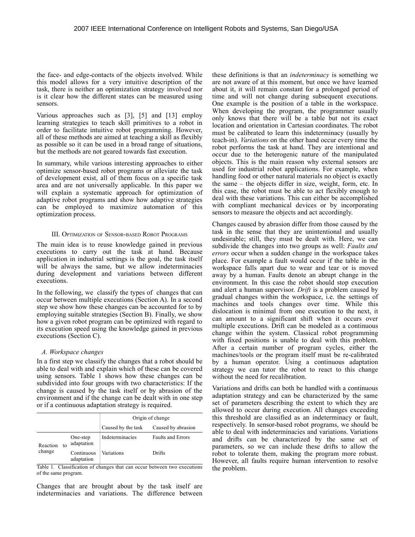the face- and edge-contacts of the objects involved. While this model allows for a very intuitive description of the task, there is neither an optimization strategy involved nor is it clear how the different states can be measured using sensors.

Various approaches such as [3], [5] and [13] employ learning strategies to teach skill primitives to a robot in order to facilitate intuitive robot programming. However, all of these methods are aimed at teaching a skill as flexibly as possible so it can be used in a broad range of situations, but the methods are not geared towards fast execution.

In summary, while various interesting approaches to either optimize sensor-based robot programs or alleviate the task of development exist, all of them focus on a specific task area and are not universally applicable. In this paper we will explain a systematic approach for optimization of adaptive robot programs and show how adaptive strategies can be employed to maximize automation of this optimization process.

### III. OPTIMIZATION OF SENSOR-BASED ROBOT PROGRAMS

The main idea is to reuse knowledge gained in previous executions to carry out the task at hand. Because application in industrial settings is the goal, the task itself will be always the same, but we allow indeterminacies during development and variations between different executions.

In the following, we classify the types of changes that can occur between multiple executions (Section A). In a second step we show how these changes can be accounted for to by employing suitable strategies (Section B). Finally, we show how a given robot program can be optimized with regard to its execution speed using the knowledge gained in previous executions (Section C).

# *A. Workspace changes*

In a first step we classify the changes that a robot should be able to deal with and explain which of these can be covered using sensors. Table 1 shows how these changes can be subdivided into four groups with two characteristics: If the change is caused by the task itself or by abrasion of the environment and if the change can be dealt with in one step or if a continuous adaptation strategy is required.

|                    |    |                          | Origin of change   |                          |  |
|--------------------|----|--------------------------|--------------------|--------------------------|--|
|                    |    |                          | Caused by the task | Caused by abrasion       |  |
| Reaction<br>change | to | One-step<br>adaptation   | Indeterminacies    | <b>Faults and Errors</b> |  |
|                    |    | Continuous<br>adaptation | Variations         | Drifts                   |  |

Table 1. Classification of changes that can occur between two executions of the same program.

Changes that are brought about by the task itself are indeterminacies and variations. The difference between these definitions is that an *indeterminacy* is something we are not aware of at this moment, but once we have learned about it, it will remain constant for a prolonged period of time and will not change during subsequent executions. One example is the position of a table in the workspace. When developing the program, the programmer usually only knows that there will be a table but not its exact location and orientation in Cartesian coordinates. The robot must be calibrated to learn this indeterminacy (usually by teach-in). *Variations* on the other hand occur every time the robot performs the task at hand. They are intentional and occur due to the heterogenic nature of the manipulated objects. This is the main reason why external sensors are used for industrial robot applications. For example, when handling food or other natural materials no object is exactly the same – the objects differ in size, weight, form, etc. In this case, the robot must be able to act flexibly enough to deal with these variations. This can either be accomplished with compliant mechanical devices or by incorporating sensors to measure the objects and act accordingly.

Changes caused by abrasion differ from those caused by the task in the sense that they are unintentional and usually undesirable; still, they must be dealt with. Here, we can subdivide the changes into two groups as well: *Faults and errors* occur when a sudden change in the workspace takes place. For example a fault would occur if the table in the workspace falls apart due to wear and tear or is moved away by a human. Faults denote an abrupt change in the environment. In this case the robot should stop execution and alert a human supervisor. *Drift* is a problem caused by gradual changes within the workspace, i.e. the settings of machines and tools changes over time. While this dislocation is minimal from one execution to the next, it can amount to a significant shift when it occurs over multiple executions. Drift can be modeled as a continuous change within the system. Classical robot programming with fixed positions is unable to deal with this problem. After a certain number of program cycles, either the machines/tools or the program itself must be re-calibrated by a human operator. Using a continuous adaptation strategy we can tutor the robot to react to this change without the need for recalibration.

Variations and drifts can both be handled with a continuous adaptation strategy and can be characterized by the same set of parameters describing the extent to which they are allowed to occur during execution. All changes exceeding this threshold are classified as an indeterminacy or fault, respectively. In sensor-based robot programs, we should be able to deal with indeterminacies and variations. Variations and drifts can be characterized by the same set of parameters, so we can include these drifts to allow the robot to tolerate them, making the program more robust. However, all faults require human intervention to resolve the problem.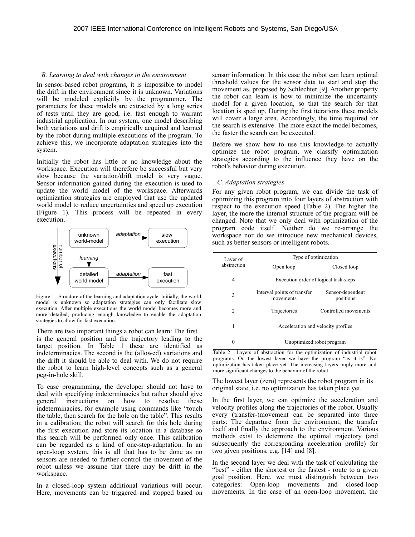## *B. Learning to deal with changes in the environment*

In sensor-based robot programs, it is impossible to model the drift in the environment since it is unknown. Variations will be modeled explicitly by the programmer. The parameters for these models are extracted by a long series of tests until they are good, i.e. fast enough to warrant industrial application. In our system, one model describing both variations and drift is empirically acquired and learned by the robot during multiple executions of the program. To achieve this, we incorporate adaptation strategies into the system.

Initially the robot has little or no knowledge about the workspace. Execution will therefore be successful but very slow because the variation/drift model is very vague. Sensor information gained during the execution is used to update the world model of the workspace. Afterwards optimization strategies are employed that use the updated world model to reduce uncertainties and speed up execution (Figure 1). This process will be repeated in every execution.



Figure 1. Structure of the learning and adaptation cycle. Initially, the world model is unknown so adaptation strategies can only facilitate slow execution. After multiple executions the world model becomes more and more detailed, producing enough knowledge to enable the adaptation strategies to allow for fast execution.

There are two important things a robot can learn: The first is the general position and the trajectory leading to the target position. In Table 1 these are identified as indeterminacies. The second is the (allowed) variations and the drift it should be able to deal with. We do not require the robot to learn high-level concepts such as a general peg-in-hole skill.

To ease programming, the developer should not have to deal with specifying indeterminacies but rather should give general instructions on how to resolve these indeterminacies, for example using commands like "touch the table, then search for the hole on the table". This results in a calibration; the robot will search for this hole during the first execution and store its location in a database so this search will be performed only once. This calibration can be regarded as a kind of one-step-adaptation. In an open-loop system, this is all that has to be done as no sensors are needed to further control the movement of the robot unless we assume that there may be drift in the workspace.

In a closed-loop system additional variations will occur. Here, movements can be triggered and stopped based on sensor information. In this case the robot can learn optimal threshold values for the sensor data to start and stop the movement as, proposed by Schlechter [9]. Another property the robot can learn is how to minimize the uncertainty model for a given location, so that the search for that location is sped up. During the first iterations these models will cover a large area. Accordingly, the time required for the search is extensive. The more exact the model becomes, the faster the search can be executed.

Before we show how to use this knowledge to actually optimize the robot program, we classify optimization strategies according to the influence they have on the robot's behavior during execution.

# *C. Adaptation strategies*

For any given robot program, we can divide the task of optimizing this program into four layers of abstraction with respect to the execution speed (Table 2). The higher the layer, the more the internal structure of the program will be changed. Note that we only deal with optimization of the program code itself. Neither do we re-arrange the workspace nor do we introduce new mechanical devices, such as better sensors or intelligent robots.

| Layer of<br>abstraction | Type of optimization                     |                               |  |  |
|-------------------------|------------------------------------------|-------------------------------|--|--|
|                         | Open loop                                | Closed loop                   |  |  |
| 4                       | Execution order of logical task-steps    |                               |  |  |
| 3                       | Interval points of transfer<br>movements | Sensor-dependent<br>positions |  |  |
| $\mathcal{L}$           | Trajectories                             | Controlled movements          |  |  |
| 1                       | Acceleration and velocity profiles       |                               |  |  |
|                         | Unoptimized robot program                |                               |  |  |

Table 2. Layers of abstraction for the optimization of industrial robot programs. On the lowest layer we have the program "as it is". No optimization has taken place yet. The increasing layers imply more and more significant changes to the behavior of the robot.

The lowest layer (zero) represents the robot program in its original state, i.e. no optimization has taken place yet.

In the first layer, we can optimize the acceleration and velocity profiles along the trajectories of the robot. Usually every (transfer-)movement can be separated into three parts: The departure from the environment, the transfer itself and finally the approach to the environment. Various methods exist to determine the optimal trajectory (and subsequently the corresponding acceleration profile) for two given positions, e.g. [14] and [8].

In the second layer we deal with the task of calculating the "best" - either the shortest or the fastest - route to a given goal position. Here, we must distinguish between two categories: Open-loop movements and closed-loop movements. In the case of an open-loop movement, the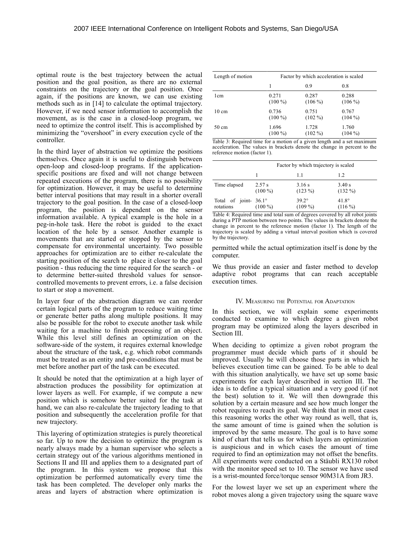optimal route is the best trajectory between the actual position and the goal position, as there are no external constraints on the trajectory or the goal position. Once again, if the positions are known, we can use existing methods such as in [14] to calculate the optimal trajectory. However, if we need sensor information to accomplish the movement, as is the case in a closed-loop program, we need to optimize the control itself. This is accomplished by minimizing the "overshoot" in every execution cycle of the controller.

In the third layer of abstraction we optimize the positions themselves. Once again it is useful to distinguish between open-loop and closed-loop programs. If the applicationspecific positions are fixed and will not change between repeated executions of the program, there is no possibility for optimization. However, it may be useful to determine better interval positions that may result in a shorter overall trajectory to the goal position. In the case of a closed-loop program, the position is dependent on the sensor information available. A typical example is the hole in a peg-in-hole task. Here the robot is guided to the exact location of the hole by a sensor. Another example is movements that are started or stopped by the sensor to compensate for environmental uncertainty. Two possible approaches for optimization are to either re-calculate the starting position of the search to place it closer to the goal position - thus reducing the time required for the search - or to determine better-suited threshold values for sensorcontrolled movements to prevent errors, i.e. a false decision to start or stop a movement.

In layer four of the abstraction diagram we can reorder certain logical parts of the program to reduce waiting time or generate better paths along multiple positions. It may also be possible for the robot to execute another task while waiting for a machine to finish processing of an object. While this level still defines an optimization on the software-side of the system, it requires external knowledge about the structure of the task, e.g. which robot commands must be treated as an entity and pre-conditions that must be met before another part of the task can be executed.

It should be noted that the optimization at a high layer of abstraction produces the possibility for optimization at lower layers as well. For example, if we compute a new position which is somehow better suited for the task at hand, we can also re-calculate the trajectory leading to that position and subsequently the acceleration profile for that new trajectory.

This layering of optimization strategies is purely theoretical so far. Up to now the decision to optimize the program is nearly always made by a human supervisor who selects a certain strategy out of the various algorithms mentioned in Sections II and III and applies them to a designated part of the program. In this system we propose that this optimization be performed automatically every time the task has been completed. The developer only marks the areas and layers of abstraction where optimization is

| Length of motion | Factor by which acceleration is scaled |           |           |  |
|------------------|----------------------------------------|-----------|-----------|--|
|                  | 1                                      | 0.9       | 0.8       |  |
| 1 <sub>cm</sub>  | 0.271                                  | 0.287     | 0.288     |  |
|                  | $(100\%)$                              | $(106\%)$ | $(106\%)$ |  |
| $10 \text{ cm}$  | 0.736                                  | 0.751     | 0.767     |  |
|                  | $(100\%)$                              | $(102\%)$ | $(104\%)$ |  |
| 50 cm            | 1.696                                  | 1.728     | 1.760     |  |
|                  | $(100\%)$                              | $(102\%)$ | $(104\%)$ |  |

Table 3: Required time for a motion of a given length and a set maximum acceleration. The values in brackets denote the change in percent to the reference motion (factor 1).

|                                | Factor by which trajectory is scaled |                |              |
|--------------------------------|--------------------------------------|----------------|--------------|
|                                |                                      | 11             | 12           |
| Time elapsed                   | 2.57 s                               | 3.16 s         | 3.40 s       |
|                                | $(100\%)$                            | $(123\%)$      | $(132\%)$    |
| Total of joint- $36.1^{\circ}$ | $(100\%)$                            | $39.2^{\circ}$ | $41.8^\circ$ |
| rotations                      |                                      | $(109\%)$      | $(116\%)$    |

Table 4: Required time and total sum of degrees covered by all robot joints during a PTP motion between two points. The values in brackets denote the change in percent to the reference motion (factor 1). The length of the trajectory is scaled by adding a virtual interval position which is covered by the trajectory.

permitted while the actual optimization itself is done by the computer.

We thus provide an easier and faster method to develop adaptive robot programs that can reach acceptable execution times.

#### IV. MEASURING THE POTENTIAL FOR ADAPTATION

In this section, we will explain some experiments conducted to examine to which degree a given robot program may be optimized along the layers described in Section III.

When deciding to optimize a given robot program the programmer must decide which parts of it should be improved. Usually he will choose those parts in which he believes execution time can be gained. To be able to deal with this situation analytically, we have set up some basic experiments for each layer described in section III. The idea is to define a typical situation and a very good (if not the best) solution to it. We will then downgrade this solution by a certain measure and see how much longer the robot requires to reach its goal. We think that in most cases this reasoning works the other way round as well, that is, the same amount of time is gained when the solution is improved by the same measure. The goal is to have some kind of chart that tells us for which layers an optimization is auspicious and in which cases the amount of time required to find an optimization may not offset the benefits. All experiments were conducted on a Stäubli RX130 robot with the monitor speed set to 10. The sensor we have used is a wrist-mounted force/torque sensor 90M31A from JR3.

For the lowest layer we set up an experiment where the robot moves along a given trajectory using the square wave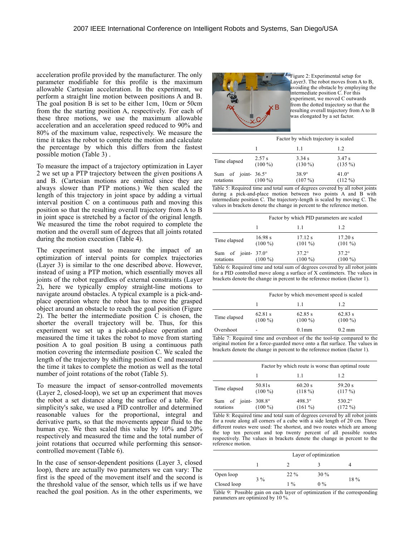acceleration profile provided by the manufacturer. The only parameter modifiable for this profile is the maximum allowable Cartesian acceleration. In the experiment, we perform a straight line motion between positions A and B. The goal position B is set to be either 1cm, 10cm or 50cm from the the starting position A, respectively. For each of these three motions, we use the maximum allowable acceleration and an acceleration speed reduced to 90% and 80% of the maximum value, respectively. We measure the time it takes the robot to complete the motion and calculate the percentage by which this differs from the fastest possible motion (Table 3) .

To measure the impact of a trajectory optimization in Layer 2 we set up a PTP trajectory between the given positions A and B. (Cartesian motions are omitted since they are always slower than PTP motions.) We then scaled the length of this trajectory in joint space by adding a virtual interval position C on a continuous path and moving this position so that the resulting overall trajectory from A to B in joint space is stretched by a factor of the original length. We measured the time the robot required to complete the motion and the overall sum of degrees that all joints rotated during the motion execution (Table 4).

The experiment used to measure the impact of an optimization of interval points for complex trajectories (Layer 3) is similar to the one described above. However, instead of using a PTP motion, which essentially moves all joints of the robot regardless of external constraints (Layer 2), here we typically employ straight-line motions to navigate around obstacles. A typical example is a pick-andplace operation where the robot has to move the grasped object around an obstacle to reach the goal position (Figure 2). The better the intermediate position C is chosen, the shorter the overall trajectory will be. Thus, for this experiment we set up a pick-and-place operation and measured the time it takes the robot to move from starting position A to goal position B using a continuous path motion covering the intermediate position C. We scaled the length of the trajectory by shifting position C and measured the time it takes to complete the motion as well as the total number of joint rotations of the robot (Table 5).

To measure the impact of sensor-controlled movements (Layer 2, closed-loop), we set up an experiment that moves the robot a set distance along the surface of a table. For simplicity's sake, we used a PID controller and determined reasonable values for the proportional, integral and derivative parts, so that the movements appear fluid to the human eye. We then scaled this value by 10% and 20% respectively and measured the time and the total number of joint rotations that occurred while performing this sensorcontrolled movement (Table 6).

In the case of sensor-dependent positions (Layer 3, closed loop), there are actually two parameters we can vary: The first is the speed of the movement itself and the second is the threshold value of the sensor, which tells us if we have reached the goal position. As in the other experiments, we



Figure 2: Experimental setup for Layer3. The robot moves from A to B, avoiding the obstacle by employing the intermediate position C. For this experiment, we moved C outwards from the dotted trajectory so that the resulting overall trajectory from A to B was elongated by a set factor.

|                              | Factor by which trajectory is scaled |              |              |
|------------------------------|--------------------------------------|--------------|--------------|
|                              |                                      | 1.1          | 1.2          |
| Time elapsed                 | 2.57 s                               | 3.34 s       | 3.47 s       |
|                              | $(100\%)$                            | $(130\%)$    | $(135\%)$    |
| Sum of joint- $36.5^{\circ}$ | $(100\%)$                            | $38.9^\circ$ | $41.0^\circ$ |
| rotations                    |                                      | $(107\%)$    | $(112\%)$    |

Table 5: Required time and total sum of degrees covered by all robot joints during a pick-and-place motion between two points A and B with intermediate position C. The trajectory-length is scaled by moving C. The values in brackets denote the change in percent to the reference motion.

|                              | Factor by which PID parameters are scaled |              |                |
|------------------------------|-------------------------------------------|--------------|----------------|
|                              |                                           | 11           | 12             |
| Time elapsed                 | 16.98 s                                   | 17.12 s      | 17.20 s        |
|                              | $(100\%)$                                 | $(101\%)$    | $(101\%)$      |
| Sum of joint- $37.0^{\circ}$ | $(100\%)$                                 | $37.2^\circ$ | $37.2^{\circ}$ |
| rotations                    |                                           | $(100\%)$    | $(100\%)$      |

Table 6: Required time and total sum of degrees covered by all robot joints for a PID controlled move along a surface of X centimeters. The values in brackets denote the change in percent to the reference motion (factor 1).

|              | Factor by which movement speed is scaled |                      |                      |
|--------------|------------------------------------------|----------------------|----------------------|
|              |                                          | 11                   | 12                   |
| Time elapsed | 62.81 s<br>$(100\%)$                     | 62.85 s<br>$(100\%)$ | 62.83 s<br>$(100\%)$ |
| Overshoot    |                                          | 0.1 <sub>mm</sub>    | $0.2 \text{ mm}$     |

Table 7: Required time and overshoot of the the tool-tip compared to the original motion for a force-guarded move onto a flat surface. The values in brackets denote the change in percent to the reference motion (factor 1).

|                             | Factor by which route is worse than optimal route |               |           |
|-----------------------------|---------------------------------------------------|---------------|-----------|
|                             |                                                   | 11            | 12        |
| Time elapsed                | 50.81s                                            | 60.20 s       | 59.20 s   |
|                             | $(100\%)$                                         | (118%)        | (117%)    |
| Sum of joint- $308.8^\circ$ | $(100\%)$                                         | $498.3^\circ$ | 530.2°    |
| rotations                   |                                                   | $(161\%)$     | $(172\%)$ |

Table 8: Required time and total sum of degrees covered by all robot joints for a route along all corners of a cube with a side length of 20 cm. Three different routes were used: The shortest, and two routes which are among the top ten percent and top twenty percent of all possible routes respectively. The values in brackets denote the change in percent to the reference motion.

|             | Layer of optimization |        |        |      |  |
|-------------|-----------------------|--------|--------|------|--|
|             |                       |        |        |      |  |
| Open loop   | $3\%$                 | $22\%$ | $30\%$ | 18 % |  |
| Closed loop |                       | $1\%$  | $0\%$  |      |  |

Table 9: Possible gain on each layer of optimization if the corresponding parameters are optimized by 10 %.